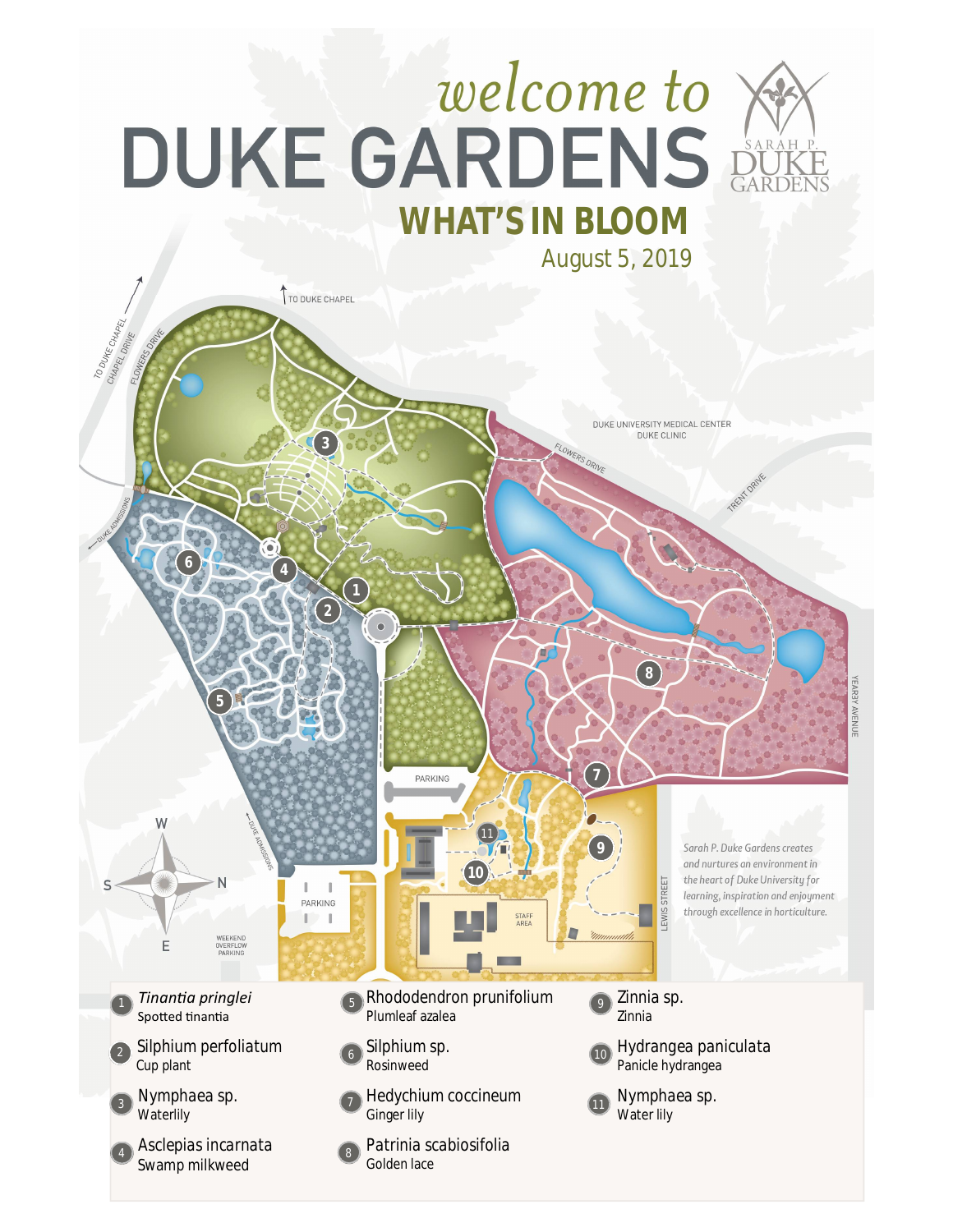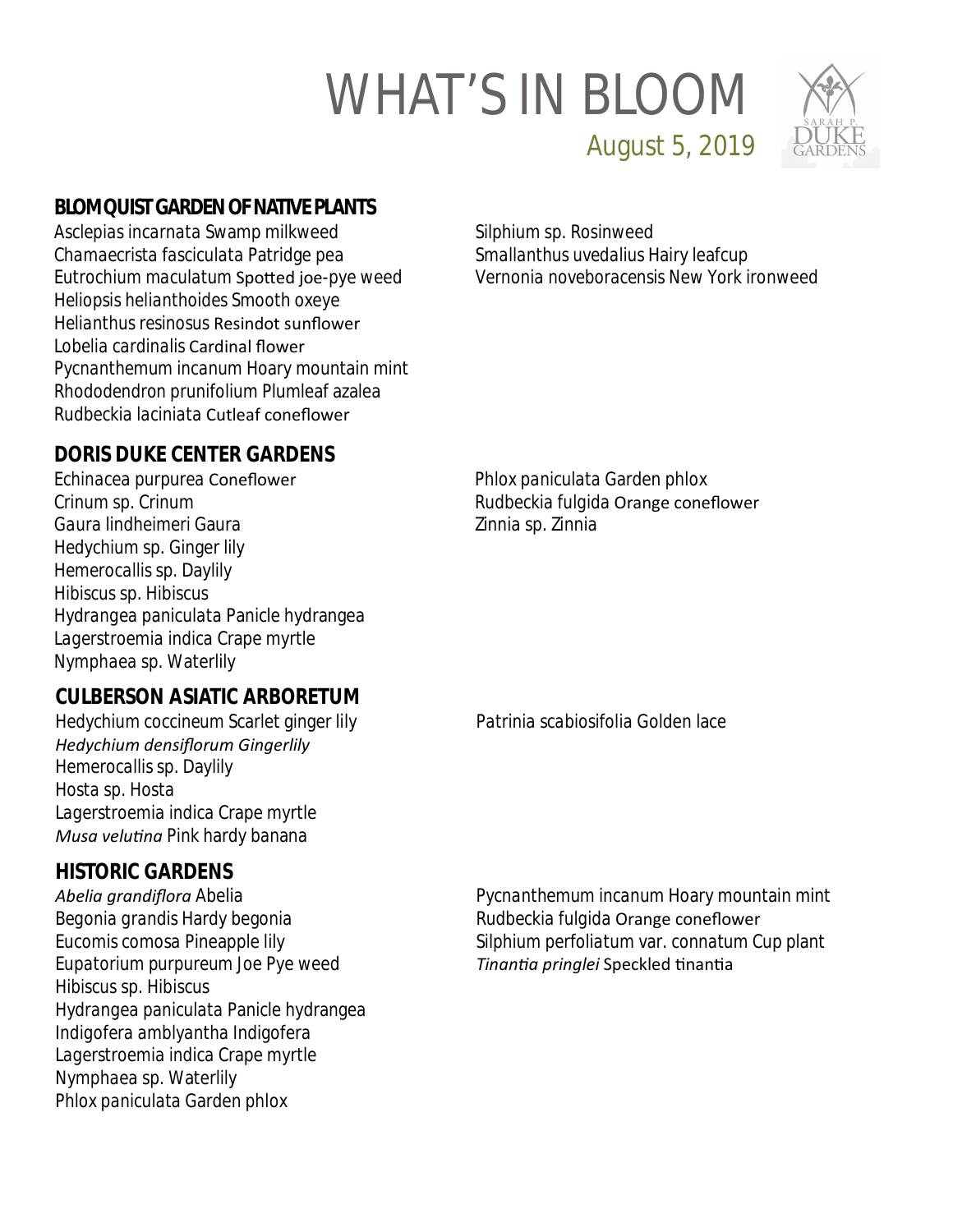

August 5, 2019

### **BLOMQUIST GARDEN OF NATIVE PLANTS**

*Asclepias incarnata* Swamp milkweed *Chamaecrista fasciculata* Patridge pea *Eutrochium maculatum* SpoƩed joe-pye weed *Heliopsis helianthoides* Smooth oxeye *Helianthus resinosus* Resindot sunflower *Lobelia cardinalis* Cardinal flower *Pycnanthemum incanum* Hoary mountain mint *Rhododendron prunifolium* Plumleaf azalea *Rudbeckia laciniata* Cutleaf coneflower

*Silphium* sp. Rosinweed *Smallanthus uvedalius* Hairy leafcup *Vernonia noveboracensis* New York ironweed

# **DORIS DUKE CENTER GARDENS**

*Echinacea purpurea* Coneflower *Crinum* sp. Crinum *Gaura lindheimeri* Gaura *Hedychium* sp. Ginger lily *Hemerocallis* sp. Daylily *Hibiscus* sp. Hibiscus *Hydrangea paniculata* Panicle hydrangea *Lagerstroemia indica* Crape myrtle *Nymphaea* sp. Waterlily

#### **CULBERSON ASIATIC ARBORETUM**

*Hedychium coccineum* Scarlet ginger lily *Hedychium densiflorum Gingerlily Hemerocallis* sp. Daylily *Hosta* sp. Hosta *Lagerstroemia indica* Crape myrtle *Musa veluƟna* Pink hardy banana

#### **HISTORIC GARDENS**

*Abelia grandiflora* Abelia *Begonia grandis* Hardy begonia *Eucomis comosa* Pineapple lily *Eupatorium purpureum* Joe Pye weed *Hibiscus* sp. Hibiscus *Hydrangea paniculata* Panicle hydrangea *Indigofera amblyantha* Indigofera *Lagerstroemia indica* Crape myrtle *Nymphaea* sp. Waterlily *Phlox paniculata* Garden phlox

*Phlox paniculata* Garden phlox *Rudbeckia fulgida* Orange coneflower *Zinnia* sp. Zinnia

*Patrinia scabiosifolia* Golden lace

*Pycnanthemum incanum* Hoary mountain mint *Rudbeckia fulgida* Orange coneflower *Silphium perfoliatum* var. *connatum* Cup plant *TinanƟa pringlei* Speckled ƟnanƟa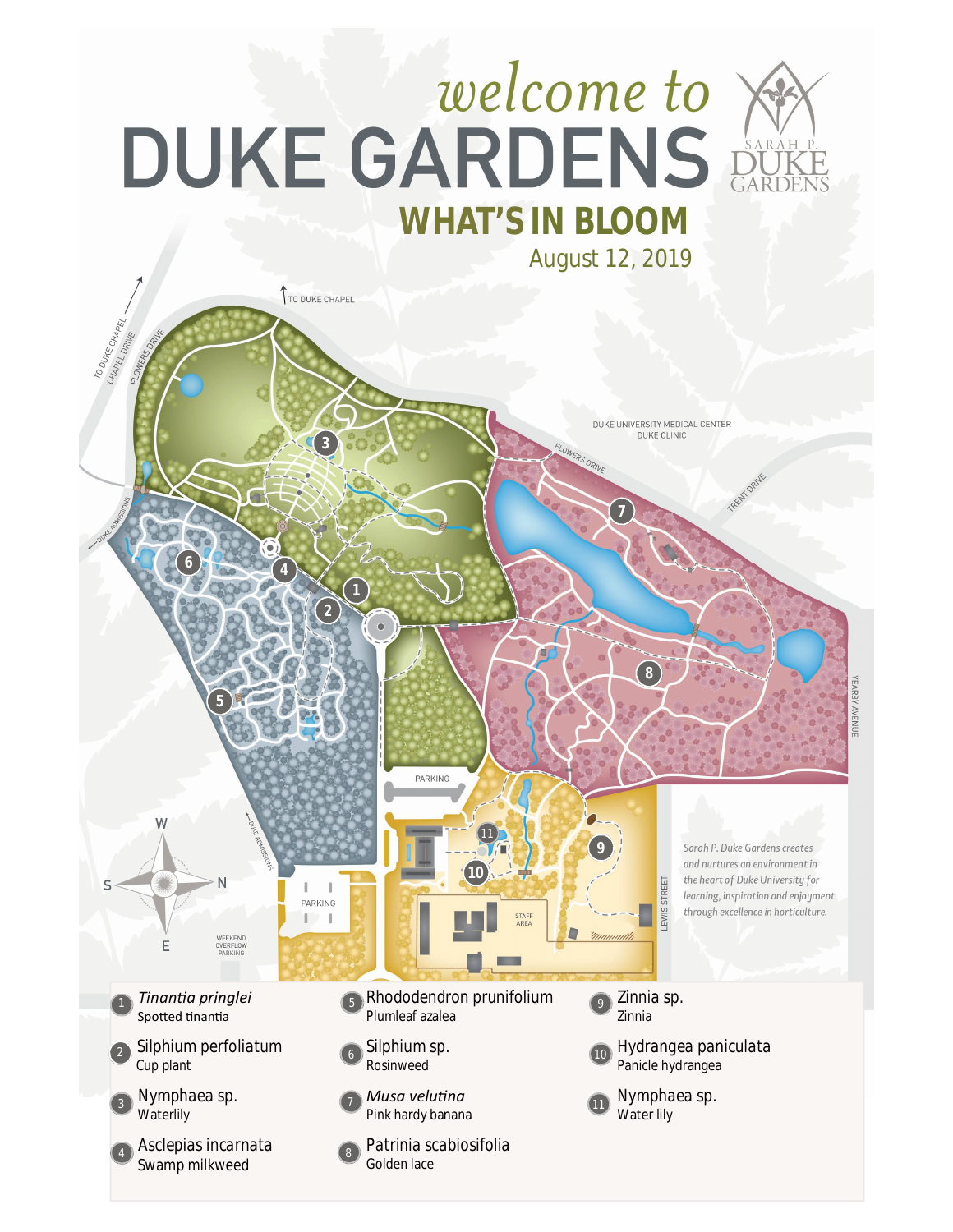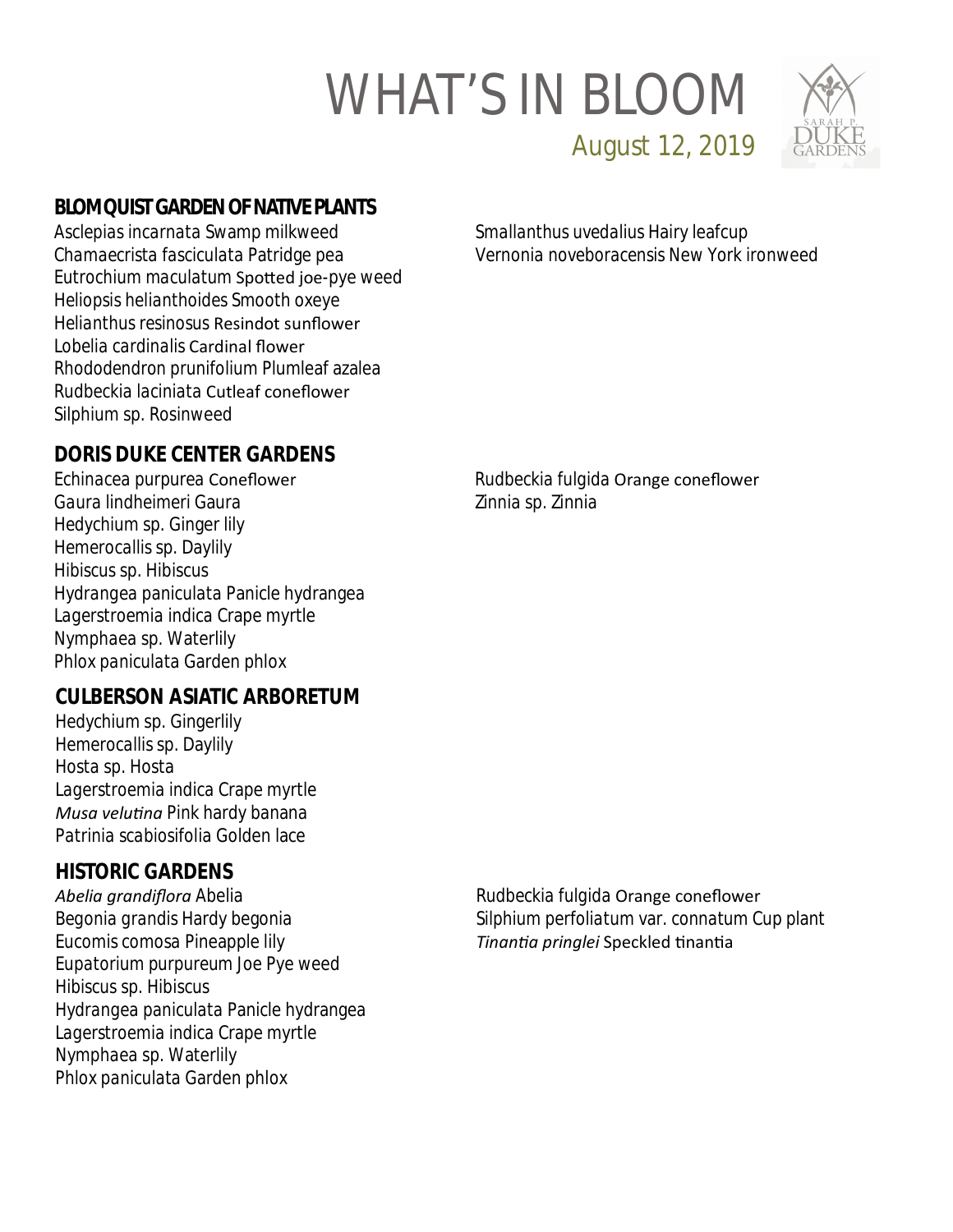

August 12, 2019

## **BLOMQUIST GARDEN OF NATIVE PLANTS**

*Asclepias incarnata* Swamp milkweed *Chamaecrista fasciculata* Patridge pea *Eutrochium maculatum* SpoƩed joe-pye weed *Heliopsis helianthoides* Smooth oxeye *Helianthus resinosus* Resindot sunflower *Lobelia cardinalis* Cardinal flower *Rhododendron prunifolium* Plumleaf azalea *Rudbeckia laciniata* Cutleaf coneflower *Silphium* sp. Rosinweed

*Smallanthus uvedalius* Hairy leafcup *Vernonia noveboracensis* New York ironweed

## **DORIS DUKE CENTER GARDENS**

*Echinacea purpurea* Coneflower *Gaura lindheimeri* Gaura *Hedychium* sp. Ginger lily *Hemerocallis* sp. Daylily *Hibiscus* sp. Hibiscus *Hydrangea paniculata* Panicle hydrangea *Lagerstroemia indica* Crape myrtle *Nymphaea* sp. Waterlily *Phlox paniculata* Garden phlox

#### **CULBERSON ASIATIC ARBORETUM**

*Hedychium* sp. Gingerlily *Hemerocallis* sp. Daylily *Hosta* sp. Hosta *Lagerstroemia indica* Crape myrtle *Musa veluƟna* Pink hardy banana *Patrinia scabiosifolia* Golden lace

### **HISTORIC GARDENS**

*Abelia grandiflora* Abelia *Begonia grandis* Hardy begonia *Eucomis comosa* Pineapple lily *Eupatorium purpureum* Joe Pye weed *Hibiscus* sp. Hibiscus *Hydrangea paniculata* Panicle hydrangea *Lagerstroemia indica* Crape myrtle *Nymphaea* sp. Waterlily *Phlox paniculata* Garden phlox

*Rudbeckia fulgida* Orange coneflower *Zinnia* sp. Zinnia

*Rudbeckia fulgida* Orange coneflower *Silphium perfoliatum* var. *connatum* Cup plant *TinanƟa pringlei* Speckled ƟnanƟa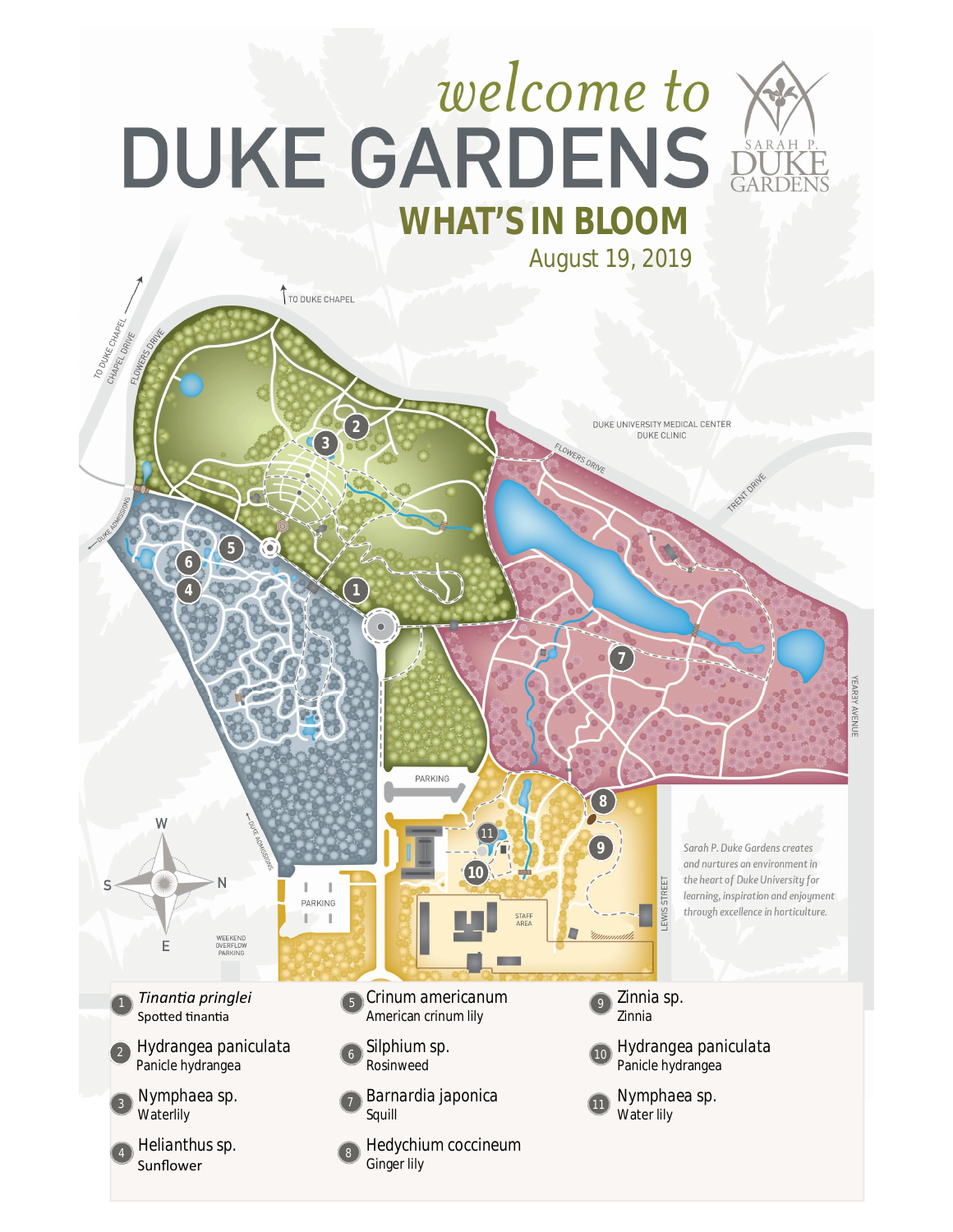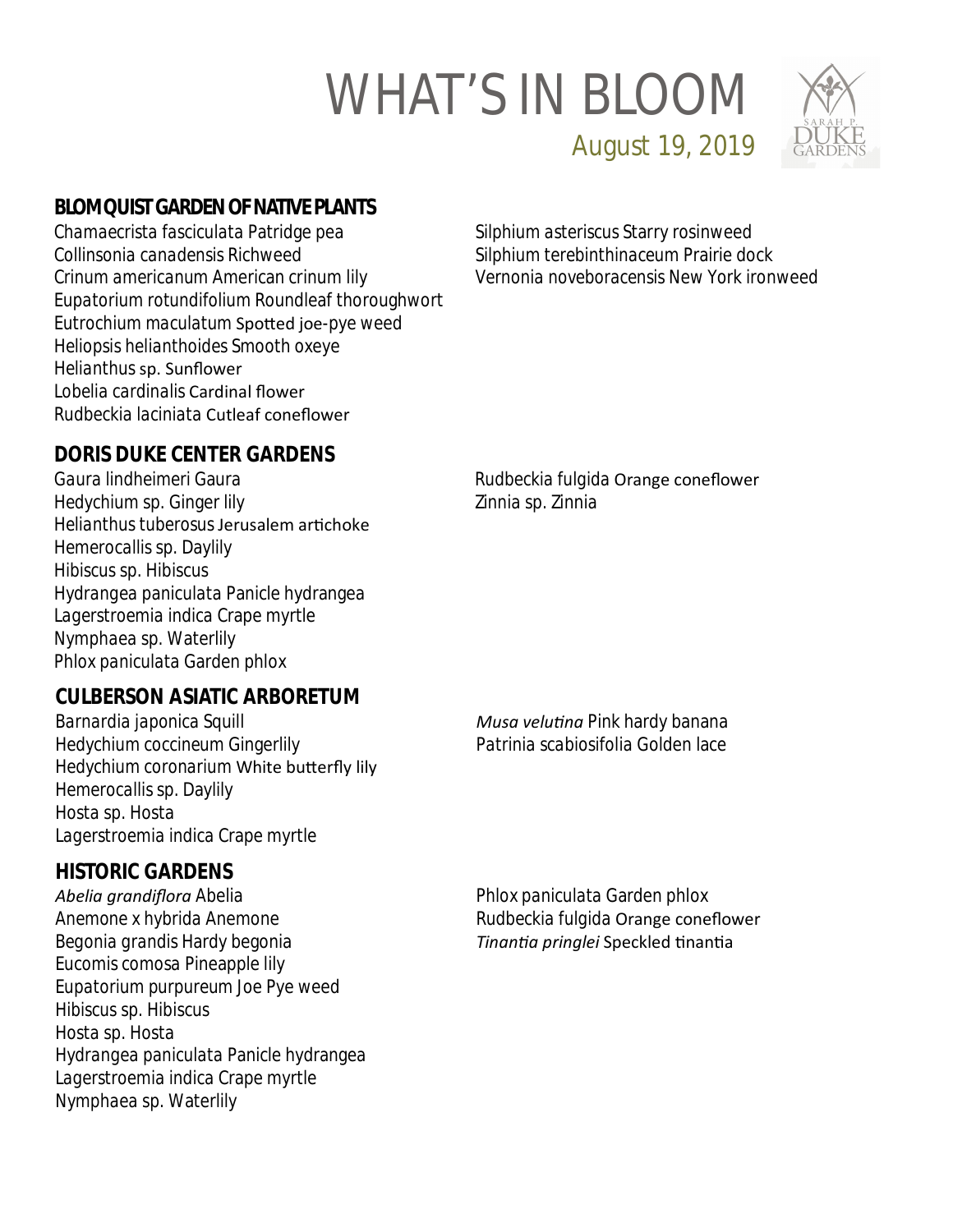

August 19, 2019

## **BLOMQUIST GARDEN OF NATIVE PLANTS**

*Chamaecrista fasciculata* Patridge pea *Collinsonia canadensis* Richweed *Crinum americanum* American crinum lily *Eupatorium rotundifolium* Roundleaf thoroughwort *Eutrochium maculatum* SpoƩed joe-pye weed *Heliopsis helianthoides* Smooth oxeye *Helianthus* sp. Sunflower *Lobelia cardinalis* Cardinal flower *Rudbeckia laciniata* Cutleaf coneflower

*Silphium asteriscus* Starry rosinweed *Silphium terebinthinaceum* Prairie dock *Vernonia noveboracensis* New York ironweed

## **DORIS DUKE CENTER GARDENS**

*Gaura lindheimeri* Gaura *Hedychium* sp. Ginger lily **Helianthus tuberosus Jerusalem artichoke** *Hemerocallis* sp. Daylily *Hibiscus* sp. Hibiscus *Hydrangea paniculata* Panicle hydrangea *Lagerstroemia indica* Crape myrtle *Nymphaea* sp. Waterlily *Phlox paniculata* Garden phlox

*Rudbeckia fulgida* Orange coneflower *Zinnia* sp. Zinnia

### **CULBERSON ASIATIC ARBORETUM**

*Barnardia japonica* Squill *Hedychium coccineum* Gingerlily *Hedychium coronarium* White butterfly lily *Hemerocallis* sp. Daylily *Hosta* sp. Hosta *Lagerstroemia indica* Crape myrtle

#### **HISTORIC GARDENS**

*Abelia grandiflora* Abelia *Anemone x hybrida* Anemone *Begonia grandis* Hardy begonia *Eucomis comosa* Pineapple lily *Eupatorium purpureum* Joe Pye weed *Hibiscus* sp. Hibiscus *Hosta* sp. Hosta *Hydrangea paniculata* Panicle hydrangea *Lagerstroemia indica* Crape myrtle *Nymphaea* sp. Waterlily

*Musa veluƟna* Pink hardy banana *Patrinia scabiosifolia* Golden lace

*Phlox paniculata* Garden phlox *Rudbeckia fulgida* Orange coneflower *TinanƟa pringlei* Speckled ƟnanƟa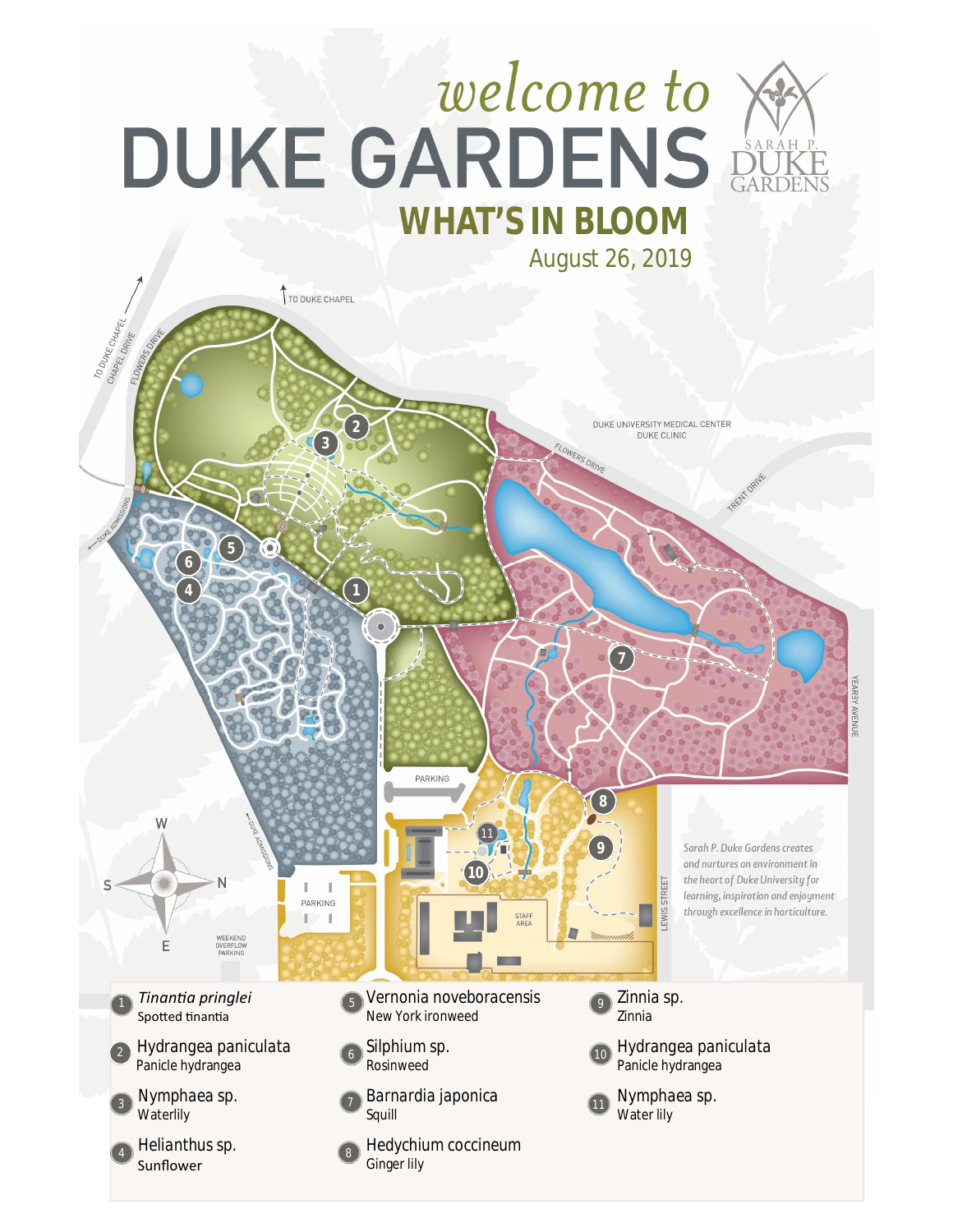